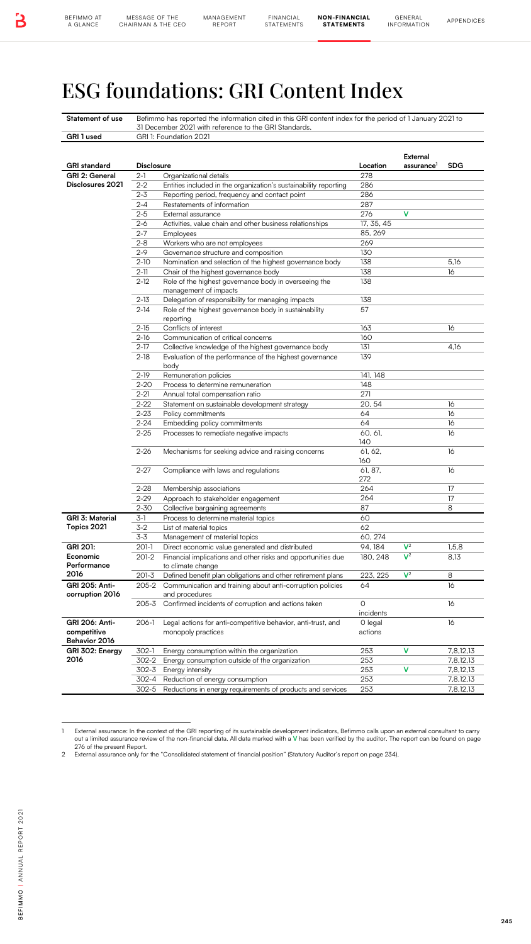## ESG foundations: GRI Content Index

| GRI 1 used                         |                      | Befimmo has reported the information cited in this GRI content index for the period of 1 January 2021 to<br>31 December 2021 with reference to the GRI Standards. |                       |                                  |                        |
|------------------------------------|----------------------|-------------------------------------------------------------------------------------------------------------------------------------------------------------------|-----------------------|----------------------------------|------------------------|
|                                    |                      | GRI 1: Foundation 2021                                                                                                                                            |                       |                                  |                        |
|                                    |                      |                                                                                                                                                                   |                       | External                         |                        |
| <b>GRI</b> standard                | <b>Disclosure</b>    |                                                                                                                                                                   | Location              | assurance <sup>1</sup>           | <b>SDG</b>             |
| GRI 2: General<br>Disclosures 2021 | $2-1$<br>$2 - 2$     | Organizational details<br>Entities included in the organization's sustainability reporting                                                                        | 278<br>286            |                                  |                        |
|                                    | $2 - 3$              | Reporting period, frequency and contact point                                                                                                                     | 286                   |                                  |                        |
|                                    | $2 - 4$              | Restatements of information                                                                                                                                       | 287                   |                                  |                        |
|                                    | $2 - 5$              | External assurance                                                                                                                                                | 276                   | v                                |                        |
|                                    | 2-6<br>$2 - 7$       | Activities, value chain and other business relationships<br>Employees                                                                                             | 17, 35, 45<br>85, 269 |                                  |                        |
|                                    | $2 - 8$              | Workers who are not employees                                                                                                                                     | 269                   |                                  |                        |
|                                    | $2 - 9$              | Governance structure and composition                                                                                                                              | 130                   |                                  |                        |
|                                    | $2 - 10$             | Nomination and selection of the highest governance body                                                                                                           | 138                   |                                  | 5,16                   |
|                                    | $2 - 11$<br>$2 - 12$ | Chair of the highest governance body<br>Role of the highest governance body in overseeing the                                                                     | 138<br>138            |                                  | 16                     |
|                                    |                      | management of impacts                                                                                                                                             |                       |                                  |                        |
|                                    | $2 - 13$             | Delegation of responsibility for managing impacts                                                                                                                 | 138                   |                                  |                        |
|                                    | $2 - 14$             | Role of the highest governance body in sustainability                                                                                                             | 57                    |                                  |                        |
|                                    | $2 - 15$             | reporting<br>Conflicts of interest                                                                                                                                | 163                   |                                  | 16                     |
|                                    | $2 - 16$             | Communication of critical concerns                                                                                                                                | 160                   |                                  |                        |
|                                    | $2 - 17$             | Collective knowledge of the highest governance body                                                                                                               | 131                   |                                  | 4,16                   |
|                                    | $2 - 18$             | Evaluation of the performance of the highest governance                                                                                                           | 139                   |                                  |                        |
|                                    | $2 - 19$             | body<br>Remuneration policies                                                                                                                                     | 141, 148              |                                  |                        |
|                                    | $2 - 20$             | Process to determine remuneration                                                                                                                                 | 148                   |                                  |                        |
|                                    | $2 - 21$             | Annual total compensation ratio                                                                                                                                   | 271                   |                                  |                        |
|                                    | $2 - 22$             | Statement on sustainable development strategy                                                                                                                     | 20, 54                |                                  | 16                     |
|                                    | $2 - 23$<br>$2 - 24$ | Policy commitments<br>Embedding policy commitments                                                                                                                | 64<br>64              |                                  | 16<br>16               |
|                                    | $2 - 25$             | Processes to remediate negative impacts                                                                                                                           | 60, 61,               |                                  | 16                     |
|                                    |                      |                                                                                                                                                                   | 140                   |                                  |                        |
|                                    | $2 - 26$             | Mechanisms for seeking advice and raising concerns                                                                                                                | 61, 62,<br>160        |                                  | 16                     |
|                                    | $2 - 27$             | Compliance with laws and regulations                                                                                                                              | 61, 87.               |                                  | 16                     |
|                                    |                      |                                                                                                                                                                   | 272                   |                                  |                        |
|                                    | $2 - 28$             | Membership associations                                                                                                                                           | 264                   |                                  | 17                     |
|                                    | $2 - 29$<br>2-30     | Approach to stakeholder engagement<br>Collective bargaining agreements                                                                                            | 264<br>87             |                                  | 17<br>8                |
| <b>GRI 3: Material</b>             | 3-1                  | Process to determine material topics                                                                                                                              | 60                    |                                  |                        |
| Topics 2021                        | $3-2$                | List of material topics                                                                                                                                           | 62                    |                                  |                        |
|                                    | $3 - 3$              | Management of material topics                                                                                                                                     | 60, 274               |                                  |                        |
| GRI 201:<br>Economic               | 201-1<br>201-2       | Direct economic value generated and distributed<br>Financial implications and other risks and opportunities due                                                   | 94, 184<br>180, 248   | $\mathsf{V}^2$<br>$\mathsf{V}^2$ | 1,5,8<br>8,13          |
| Performance                        |                      | to climate change                                                                                                                                                 |                       |                                  |                        |
| 2016                               | $201 - 3$            | Defined benefit plan obligations and other retirement plans                                                                                                       | 223, 225              | $\mathsf{V}^2$                   | 8                      |
| GRI 205: Anti-<br>corruption 2016  | 205-2                | Communication and training about anti-corruption policies                                                                                                         | 64                    |                                  | 16                     |
|                                    | 205-3                | and procedures<br>Confirmed incidents of corruption and actions taken                                                                                             | O                     |                                  | 16                     |
|                                    |                      |                                                                                                                                                                   | incidents             |                                  |                        |
| GRI 206: Anti-                     | 206-1                | Legal actions for anti-competitive behavior, anti-trust, and                                                                                                      | O legal               |                                  | 16                     |
| competitive                        |                      | monopoly practices                                                                                                                                                | actions               |                                  |                        |
| Behavior 2016<br>GRI 302: Energy   | 302-1                | Energy consumption within the organization                                                                                                                        | 253                   | v                                | 7,8,12,13              |
| 2016                               | 302-2                | Energy consumption outside of the organization                                                                                                                    | 253                   |                                  | 7,8,12,13              |
|                                    | 302-3                | Energy intensity                                                                                                                                                  | 253                   | ٧                                | 7,8,12,13              |
|                                    | 302-4                | Reduction of energy consumption                                                                                                                                   | 253<br>253            |                                  | 7,8,12,13<br>7,8,12,13 |
|                                    | 302-5                | Reductions in energy requirements of products and services                                                                                                        |                       |                                  |                        |

<sup>1</sup> External assurance: In the context of the GRI reporting of its sustainable development indicators, Befimmo calls upon an external consultant to carry out a limited assurance review of the non-financial data. All data marked with a V has been verified by the auditor. The report can be found on page<br>276 of the present Report.

<sup>2</sup> External assurance only for the "Consolidated statement of financial position" (Statutory Auditor's report on page 234).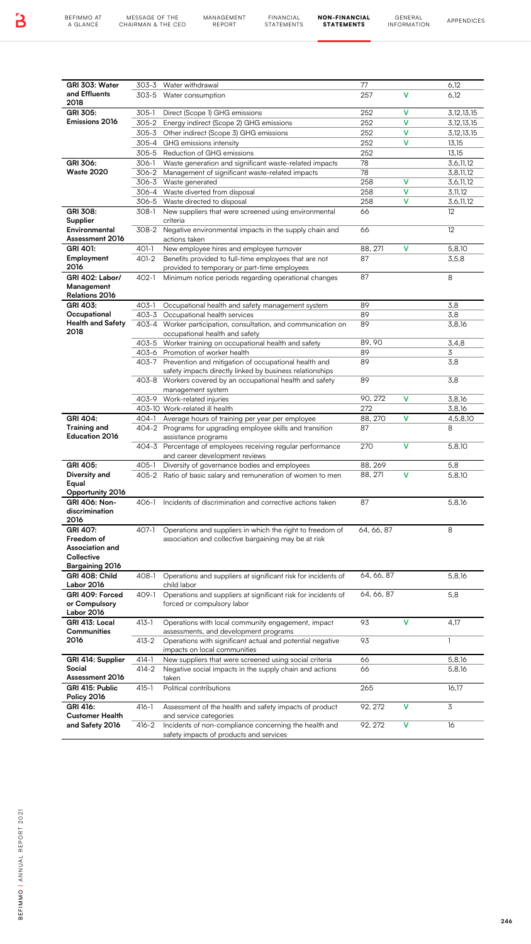MANAGEMENT

FINANCIAL STATEMENTS

NON-FINANCIAL STATEMENTS

| 303-5 Water consumption<br>305-1<br>Direct (Scope 1) GHG emissions<br>305-2 Energy indirect (Scope 2) GHG emissions<br>305-3 Other indirect (Scope 3) GHG emissions<br>305-4 GHG emissions intensity<br>305-5 Reduction of GHG emissions<br>306-1<br>306-2 Management of significant waste-related impacts<br>306-3 Waste generated<br>306-4 Waste diverted from disposal<br>306-5 Waste directed to disposal<br>New suppliers that were screened using environmental<br>308-1<br>criteria<br>308-2 | Waste generation and significant waste-related impacts                                                                                                                                                                                         | 257<br>252<br>252<br>252<br>252<br>252<br>78<br>78<br>258<br>258<br>258                                                                                                                                                                                                                                                                                                                                                                                                                                                           | v<br>v<br>v<br>v<br>v<br>v<br>v                                                                                                                                                                                                                                                                                                                                                                                                                                                                                                                                                                                                                                                                                                                                                                                                                                                                                                                                                                                                                                                                                                                                                                           | 6,12<br>3, 12, 13, 15<br>3,12,13,15<br>3, 12, 13, 15<br>13,15<br>13,15<br>3,6,11,12<br>3,8,11,12<br>3,6,11,12 |
|-----------------------------------------------------------------------------------------------------------------------------------------------------------------------------------------------------------------------------------------------------------------------------------------------------------------------------------------------------------------------------------------------------------------------------------------------------------------------------------------------------|------------------------------------------------------------------------------------------------------------------------------------------------------------------------------------------------------------------------------------------------|-----------------------------------------------------------------------------------------------------------------------------------------------------------------------------------------------------------------------------------------------------------------------------------------------------------------------------------------------------------------------------------------------------------------------------------------------------------------------------------------------------------------------------------|-----------------------------------------------------------------------------------------------------------------------------------------------------------------------------------------------------------------------------------------------------------------------------------------------------------------------------------------------------------------------------------------------------------------------------------------------------------------------------------------------------------------------------------------------------------------------------------------------------------------------------------------------------------------------------------------------------------------------------------------------------------------------------------------------------------------------------------------------------------------------------------------------------------------------------------------------------------------------------------------------------------------------------------------------------------------------------------------------------------------------------------------------------------------------------------------------------------|---------------------------------------------------------------------------------------------------------------|
|                                                                                                                                                                                                                                                                                                                                                                                                                                                                                                     |                                                                                                                                                                                                                                                |                                                                                                                                                                                                                                                                                                                                                                                                                                                                                                                                   |                                                                                                                                                                                                                                                                                                                                                                                                                                                                                                                                                                                                                                                                                                                                                                                                                                                                                                                                                                                                                                                                                                                                                                                                           |                                                                                                               |
|                                                                                                                                                                                                                                                                                                                                                                                                                                                                                                     |                                                                                                                                                                                                                                                |                                                                                                                                                                                                                                                                                                                                                                                                                                                                                                                                   |                                                                                                                                                                                                                                                                                                                                                                                                                                                                                                                                                                                                                                                                                                                                                                                                                                                                                                                                                                                                                                                                                                                                                                                                           |                                                                                                               |
|                                                                                                                                                                                                                                                                                                                                                                                                                                                                                                     |                                                                                                                                                                                                                                                |                                                                                                                                                                                                                                                                                                                                                                                                                                                                                                                                   |                                                                                                                                                                                                                                                                                                                                                                                                                                                                                                                                                                                                                                                                                                                                                                                                                                                                                                                                                                                                                                                                                                                                                                                                           |                                                                                                               |
|                                                                                                                                                                                                                                                                                                                                                                                                                                                                                                     |                                                                                                                                                                                                                                                |                                                                                                                                                                                                                                                                                                                                                                                                                                                                                                                                   |                                                                                                                                                                                                                                                                                                                                                                                                                                                                                                                                                                                                                                                                                                                                                                                                                                                                                                                                                                                                                                                                                                                                                                                                           |                                                                                                               |
|                                                                                                                                                                                                                                                                                                                                                                                                                                                                                                     |                                                                                                                                                                                                                                                |                                                                                                                                                                                                                                                                                                                                                                                                                                                                                                                                   |                                                                                                                                                                                                                                                                                                                                                                                                                                                                                                                                                                                                                                                                                                                                                                                                                                                                                                                                                                                                                                                                                                                                                                                                           |                                                                                                               |
|                                                                                                                                                                                                                                                                                                                                                                                                                                                                                                     |                                                                                                                                                                                                                                                |                                                                                                                                                                                                                                                                                                                                                                                                                                                                                                                                   |                                                                                                                                                                                                                                                                                                                                                                                                                                                                                                                                                                                                                                                                                                                                                                                                                                                                                                                                                                                                                                                                                                                                                                                                           |                                                                                                               |
|                                                                                                                                                                                                                                                                                                                                                                                                                                                                                                     |                                                                                                                                                                                                                                                |                                                                                                                                                                                                                                                                                                                                                                                                                                                                                                                                   |                                                                                                                                                                                                                                                                                                                                                                                                                                                                                                                                                                                                                                                                                                                                                                                                                                                                                                                                                                                                                                                                                                                                                                                                           |                                                                                                               |
|                                                                                                                                                                                                                                                                                                                                                                                                                                                                                                     |                                                                                                                                                                                                                                                |                                                                                                                                                                                                                                                                                                                                                                                                                                                                                                                                   | v                                                                                                                                                                                                                                                                                                                                                                                                                                                                                                                                                                                                                                                                                                                                                                                                                                                                                                                                                                                                                                                                                                                                                                                                         | 3,11,12                                                                                                       |
|                                                                                                                                                                                                                                                                                                                                                                                                                                                                                                     |                                                                                                                                                                                                                                                | 66                                                                                                                                                                                                                                                                                                                                                                                                                                                                                                                                |                                                                                                                                                                                                                                                                                                                                                                                                                                                                                                                                                                                                                                                                                                                                                                                                                                                                                                                                                                                                                                                                                                                                                                                                           | 3,6,11,12<br>12                                                                                               |
|                                                                                                                                                                                                                                                                                                                                                                                                                                                                                                     | Negative environmental impacts in the supply chain and                                                                                                                                                                                         | 66                                                                                                                                                                                                                                                                                                                                                                                                                                                                                                                                |                                                                                                                                                                                                                                                                                                                                                                                                                                                                                                                                                                                                                                                                                                                                                                                                                                                                                                                                                                                                                                                                                                                                                                                                           | 12                                                                                                            |
| actions taken<br>New employee hires and employee turnover<br>401-1                                                                                                                                                                                                                                                                                                                                                                                                                                  |                                                                                                                                                                                                                                                | 88.271                                                                                                                                                                                                                                                                                                                                                                                                                                                                                                                            | v                                                                                                                                                                                                                                                                                                                                                                                                                                                                                                                                                                                                                                                                                                                                                                                                                                                                                                                                                                                                                                                                                                                                                                                                         | 5,8,10                                                                                                        |
| 401-2                                                                                                                                                                                                                                                                                                                                                                                                                                                                                               | Benefits provided to full-time employees that are not                                                                                                                                                                                          | 87                                                                                                                                                                                                                                                                                                                                                                                                                                                                                                                                |                                                                                                                                                                                                                                                                                                                                                                                                                                                                                                                                                                                                                                                                                                                                                                                                                                                                                                                                                                                                                                                                                                                                                                                                           | 3,5,8                                                                                                         |
|                                                                                                                                                                                                                                                                                                                                                                                                                                                                                                     | provided to temporary or part-time employees                                                                                                                                                                                                   |                                                                                                                                                                                                                                                                                                                                                                                                                                                                                                                                   |                                                                                                                                                                                                                                                                                                                                                                                                                                                                                                                                                                                                                                                                                                                                                                                                                                                                                                                                                                                                                                                                                                                                                                                                           |                                                                                                               |
|                                                                                                                                                                                                                                                                                                                                                                                                                                                                                                     |                                                                                                                                                                                                                                                |                                                                                                                                                                                                                                                                                                                                                                                                                                                                                                                                   |                                                                                                                                                                                                                                                                                                                                                                                                                                                                                                                                                                                                                                                                                                                                                                                                                                                                                                                                                                                                                                                                                                                                                                                                           | 8                                                                                                             |
|                                                                                                                                                                                                                                                                                                                                                                                                                                                                                                     |                                                                                                                                                                                                                                                | 89                                                                                                                                                                                                                                                                                                                                                                                                                                                                                                                                |                                                                                                                                                                                                                                                                                                                                                                                                                                                                                                                                                                                                                                                                                                                                                                                                                                                                                                                                                                                                                                                                                                                                                                                                           | 3,8                                                                                                           |
|                                                                                                                                                                                                                                                                                                                                                                                                                                                                                                     |                                                                                                                                                                                                                                                | 89                                                                                                                                                                                                                                                                                                                                                                                                                                                                                                                                |                                                                                                                                                                                                                                                                                                                                                                                                                                                                                                                                                                                                                                                                                                                                                                                                                                                                                                                                                                                                                                                                                                                                                                                                           | 3,8<br>3,8,16                                                                                                 |
|                                                                                                                                                                                                                                                                                                                                                                                                                                                                                                     |                                                                                                                                                                                                                                                |                                                                                                                                                                                                                                                                                                                                                                                                                                                                                                                                   |                                                                                                                                                                                                                                                                                                                                                                                                                                                                                                                                                                                                                                                                                                                                                                                                                                                                                                                                                                                                                                                                                                                                                                                                           |                                                                                                               |
|                                                                                                                                                                                                                                                                                                                                                                                                                                                                                                     |                                                                                                                                                                                                                                                | 89, 90                                                                                                                                                                                                                                                                                                                                                                                                                                                                                                                            |                                                                                                                                                                                                                                                                                                                                                                                                                                                                                                                                                                                                                                                                                                                                                                                                                                                                                                                                                                                                                                                                                                                                                                                                           | 3.4.8                                                                                                         |
|                                                                                                                                                                                                                                                                                                                                                                                                                                                                                                     |                                                                                                                                                                                                                                                | 89                                                                                                                                                                                                                                                                                                                                                                                                                                                                                                                                |                                                                                                                                                                                                                                                                                                                                                                                                                                                                                                                                                                                                                                                                                                                                                                                                                                                                                                                                                                                                                                                                                                                                                                                                           | 3<br>3,8                                                                                                      |
|                                                                                                                                                                                                                                                                                                                                                                                                                                                                                                     |                                                                                                                                                                                                                                                |                                                                                                                                                                                                                                                                                                                                                                                                                                                                                                                                   |                                                                                                                                                                                                                                                                                                                                                                                                                                                                                                                                                                                                                                                                                                                                                                                                                                                                                                                                                                                                                                                                                                                                                                                                           |                                                                                                               |
| management system                                                                                                                                                                                                                                                                                                                                                                                                                                                                                   |                                                                                                                                                                                                                                                |                                                                                                                                                                                                                                                                                                                                                                                                                                                                                                                                   |                                                                                                                                                                                                                                                                                                                                                                                                                                                                                                                                                                                                                                                                                                                                                                                                                                                                                                                                                                                                                                                                                                                                                                                                           | 3,8                                                                                                           |
|                                                                                                                                                                                                                                                                                                                                                                                                                                                                                                     |                                                                                                                                                                                                                                                | 90, 272                                                                                                                                                                                                                                                                                                                                                                                                                                                                                                                           | v                                                                                                                                                                                                                                                                                                                                                                                                                                                                                                                                                                                                                                                                                                                                                                                                                                                                                                                                                                                                                                                                                                                                                                                                         | 3,8,16                                                                                                        |
|                                                                                                                                                                                                                                                                                                                                                                                                                                                                                                     |                                                                                                                                                                                                                                                |                                                                                                                                                                                                                                                                                                                                                                                                                                                                                                                                   | v                                                                                                                                                                                                                                                                                                                                                                                                                                                                                                                                                                                                                                                                                                                                                                                                                                                                                                                                                                                                                                                                                                                                                                                                         | 3,8,16<br>4,5,8,10                                                                                            |
| assistance programs                                                                                                                                                                                                                                                                                                                                                                                                                                                                                 |                                                                                                                                                                                                                                                | 87                                                                                                                                                                                                                                                                                                                                                                                                                                                                                                                                |                                                                                                                                                                                                                                                                                                                                                                                                                                                                                                                                                                                                                                                                                                                                                                                                                                                                                                                                                                                                                                                                                                                                                                                                           | 8                                                                                                             |
|                                                                                                                                                                                                                                                                                                                                                                                                                                                                                                     |                                                                                                                                                                                                                                                | 270                                                                                                                                                                                                                                                                                                                                                                                                                                                                                                                               | v                                                                                                                                                                                                                                                                                                                                                                                                                                                                                                                                                                                                                                                                                                                                                                                                                                                                                                                                                                                                                                                                                                                                                                                                         | 5,8,10                                                                                                        |
|                                                                                                                                                                                                                                                                                                                                                                                                                                                                                                     |                                                                                                                                                                                                                                                | 88.269                                                                                                                                                                                                                                                                                                                                                                                                                                                                                                                            |                                                                                                                                                                                                                                                                                                                                                                                                                                                                                                                                                                                                                                                                                                                                                                                                                                                                                                                                                                                                                                                                                                                                                                                                           | 5,8<br>5,8,10                                                                                                 |
|                                                                                                                                                                                                                                                                                                                                                                                                                                                                                                     |                                                                                                                                                                                                                                                |                                                                                                                                                                                                                                                                                                                                                                                                                                                                                                                                   |                                                                                                                                                                                                                                                                                                                                                                                                                                                                                                                                                                                                                                                                                                                                                                                                                                                                                                                                                                                                                                                                                                                                                                                                           |                                                                                                               |
|                                                                                                                                                                                                                                                                                                                                                                                                                                                                                                     |                                                                                                                                                                                                                                                |                                                                                                                                                                                                                                                                                                                                                                                                                                                                                                                                   |                                                                                                                                                                                                                                                                                                                                                                                                                                                                                                                                                                                                                                                                                                                                                                                                                                                                                                                                                                                                                                                                                                                                                                                                           | 5,8,16                                                                                                        |
|                                                                                                                                                                                                                                                                                                                                                                                                                                                                                                     |                                                                                                                                                                                                                                                |                                                                                                                                                                                                                                                                                                                                                                                                                                                                                                                                   |                                                                                                                                                                                                                                                                                                                                                                                                                                                                                                                                                                                                                                                                                                                                                                                                                                                                                                                                                                                                                                                                                                                                                                                                           |                                                                                                               |
|                                                                                                                                                                                                                                                                                                                                                                                                                                                                                                     |                                                                                                                                                                                                                                                |                                                                                                                                                                                                                                                                                                                                                                                                                                                                                                                                   |                                                                                                                                                                                                                                                                                                                                                                                                                                                                                                                                                                                                                                                                                                                                                                                                                                                                                                                                                                                                                                                                                                                                                                                                           | 8                                                                                                             |
|                                                                                                                                                                                                                                                                                                                                                                                                                                                                                                     |                                                                                                                                                                                                                                                |                                                                                                                                                                                                                                                                                                                                                                                                                                                                                                                                   |                                                                                                                                                                                                                                                                                                                                                                                                                                                                                                                                                                                                                                                                                                                                                                                                                                                                                                                                                                                                                                                                                                                                                                                                           |                                                                                                               |
|                                                                                                                                                                                                                                                                                                                                                                                                                                                                                                     |                                                                                                                                                                                                                                                |                                                                                                                                                                                                                                                                                                                                                                                                                                                                                                                                   |                                                                                                                                                                                                                                                                                                                                                                                                                                                                                                                                                                                                                                                                                                                                                                                                                                                                                                                                                                                                                                                                                                                                                                                                           |                                                                                                               |
|                                                                                                                                                                                                                                                                                                                                                                                                                                                                                                     |                                                                                                                                                                                                                                                |                                                                                                                                                                                                                                                                                                                                                                                                                                                                                                                                   |                                                                                                                                                                                                                                                                                                                                                                                                                                                                                                                                                                                                                                                                                                                                                                                                                                                                                                                                                                                                                                                                                                                                                                                                           |                                                                                                               |
|                                                                                                                                                                                                                                                                                                                                                                                                                                                                                                     |                                                                                                                                                                                                                                                |                                                                                                                                                                                                                                                                                                                                                                                                                                                                                                                                   |                                                                                                                                                                                                                                                                                                                                                                                                                                                                                                                                                                                                                                                                                                                                                                                                                                                                                                                                                                                                                                                                                                                                                                                                           | 5,8,16                                                                                                        |
|                                                                                                                                                                                                                                                                                                                                                                                                                                                                                                     |                                                                                                                                                                                                                                                |                                                                                                                                                                                                                                                                                                                                                                                                                                                                                                                                   |                                                                                                                                                                                                                                                                                                                                                                                                                                                                                                                                                                                                                                                                                                                                                                                                                                                                                                                                                                                                                                                                                                                                                                                                           | 5,8                                                                                                           |
|                                                                                                                                                                                                                                                                                                                                                                                                                                                                                                     |                                                                                                                                                                                                                                                |                                                                                                                                                                                                                                                                                                                                                                                                                                                                                                                                   |                                                                                                                                                                                                                                                                                                                                                                                                                                                                                                                                                                                                                                                                                                                                                                                                                                                                                                                                                                                                                                                                                                                                                                                                           |                                                                                                               |
|                                                                                                                                                                                                                                                                                                                                                                                                                                                                                                     |                                                                                                                                                                                                                                                | 93                                                                                                                                                                                                                                                                                                                                                                                                                                                                                                                                | V                                                                                                                                                                                                                                                                                                                                                                                                                                                                                                                                                                                                                                                                                                                                                                                                                                                                                                                                                                                                                                                                                                                                                                                                         | 4,17                                                                                                          |
|                                                                                                                                                                                                                                                                                                                                                                                                                                                                                                     |                                                                                                                                                                                                                                                |                                                                                                                                                                                                                                                                                                                                                                                                                                                                                                                                   |                                                                                                                                                                                                                                                                                                                                                                                                                                                                                                                                                                                                                                                                                                                                                                                                                                                                                                                                                                                                                                                                                                                                                                                                           | $\mathbf{I}$                                                                                                  |
|                                                                                                                                                                                                                                                                                                                                                                                                                                                                                                     |                                                                                                                                                                                                                                                |                                                                                                                                                                                                                                                                                                                                                                                                                                                                                                                                   |                                                                                                                                                                                                                                                                                                                                                                                                                                                                                                                                                                                                                                                                                                                                                                                                                                                                                                                                                                                                                                                                                                                                                                                                           |                                                                                                               |
|                                                                                                                                                                                                                                                                                                                                                                                                                                                                                                     |                                                                                                                                                                                                                                                | 66                                                                                                                                                                                                                                                                                                                                                                                                                                                                                                                                |                                                                                                                                                                                                                                                                                                                                                                                                                                                                                                                                                                                                                                                                                                                                                                                                                                                                                                                                                                                                                                                                                                                                                                                                           | 5,8,16                                                                                                        |
| taken                                                                                                                                                                                                                                                                                                                                                                                                                                                                                               |                                                                                                                                                                                                                                                |                                                                                                                                                                                                                                                                                                                                                                                                                                                                                                                                   |                                                                                                                                                                                                                                                                                                                                                                                                                                                                                                                                                                                                                                                                                                                                                                                                                                                                                                                                                                                                                                                                                                                                                                                                           | 5,8,16                                                                                                        |
| Political contributions                                                                                                                                                                                                                                                                                                                                                                                                                                                                             |                                                                                                                                                                                                                                                | 265                                                                                                                                                                                                                                                                                                                                                                                                                                                                                                                               |                                                                                                                                                                                                                                                                                                                                                                                                                                                                                                                                                                                                                                                                                                                                                                                                                                                                                                                                                                                                                                                                                                                                                                                                           | 16,17                                                                                                         |
|                                                                                                                                                                                                                                                                                                                                                                                                                                                                                                     |                                                                                                                                                                                                                                                | 92, 272                                                                                                                                                                                                                                                                                                                                                                                                                                                                                                                           | v                                                                                                                                                                                                                                                                                                                                                                                                                                                                                                                                                                                                                                                                                                                                                                                                                                                                                                                                                                                                                                                                                                                                                                                                         | 3                                                                                                             |
|                                                                                                                                                                                                                                                                                                                                                                                                                                                                                                     |                                                                                                                                                                                                                                                | 92, 272                                                                                                                                                                                                                                                                                                                                                                                                                                                                                                                           | v                                                                                                                                                                                                                                                                                                                                                                                                                                                                                                                                                                                                                                                                                                                                                                                                                                                                                                                                                                                                                                                                                                                                                                                                         | 16                                                                                                            |
|                                                                                                                                                                                                                                                                                                                                                                                                                                                                                                     | 402-1<br>403-1<br>403-9 Work-related injuries<br>403-10 Work-related ill health<br>405-1<br>406-1<br>$407-1$<br>408-1<br>child labor<br>409-1<br>$413 - 1$<br>413-2<br>414-1<br>414-2<br>$415 - 1$<br>416-1<br>and service categories<br>416-2 | Occupational health and safety management system<br>403-3 Occupational health services<br>occupational health and safety<br>403-5 Worker training on occupational health and safety<br>403-6 Promotion of worker health<br>404-1 Average hours of training per year per employee<br>and career development reviews<br>Diversity of governance bodies and employees<br>association and collective bargaining may be at risk<br>forced or compulsory labor<br>assessments, and development programs<br>impacts on local communities | Minimum notice periods regarding operational changes<br>87<br>403-4 Worker participation, consultation, and communication on<br>89<br>89<br>403-7 Prevention and mitigation of occupational health and<br>safety impacts directly linked by business relationships<br>403-8 Workers covered by an occupational health and safety<br>89<br>272<br>88, 270<br>404-2 Programs for upgrading employee skills and transition<br>404-3 Percentage of employees receiving regular performance<br>88, 271<br>405-2 Ratio of basic salary and remuneration of women to men<br>Incidents of discrimination and corrective actions taken<br>87<br>Operations and suppliers in which the right to freedom of<br>Operations and suppliers at significant risk for incidents of<br>Operations and suppliers at significant risk for incidents of<br>Operations with local community engagement, impact<br>Operations with significant actual and potential negative<br>93<br>New suppliers that were screened using social criteria<br>Negative social impacts in the supply chain and actions<br>66<br>Assessment of the health and safety impacts of product<br>Incidents of non-compliance concerning the health and | v<br>64, 66, 87<br>64, 66, 87<br>64, 66, 87                                                                   |